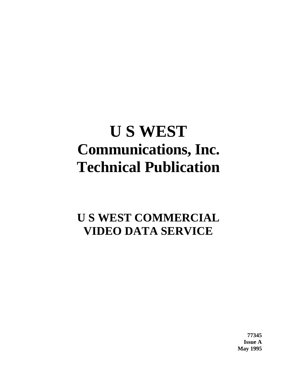# **U S WEST Communications, Inc. Technical Publication**

# **U S WEST COMMERCIAL VIDEO DATA SERVICE**

**77345 Issue A May 1995**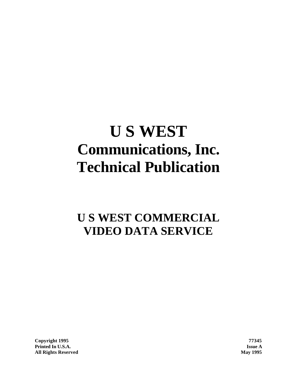# **U S WEST Communications, Inc. Technical Publication**

# **U S WEST COMMERCIAL VIDEO DATA SERVICE**

**Copyright 1995 77345 Printed In U.S.A. Issue A All Rights Reserved May 1995**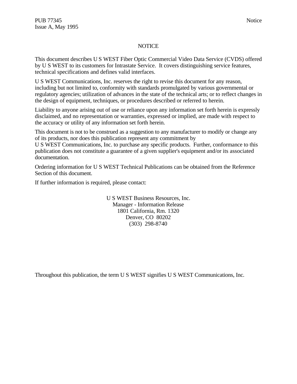#### **NOTICE**

This document describes U S WEST Fiber Optic Commercial Video Data Service (CVDS) offered by U S WEST to its customers for Intrastate Service. It covers distinguishing service features, technical specifications and defines valid interfaces.

U S WEST Communications, Inc. reserves the right to revise this document for any reason, including but not limited to, conformity with standards promulgated by various governmental or regulatory agencies; utilization of advances in the state of the technical arts; or to reflect changes in the design of equipment, techniques, or procedures described or referred to herein.

Liability to anyone arising out of use or reliance upon any information set forth herein is expressly disclaimed, and no representation or warranties, expressed or implied, are made with respect to the accuracy or utility of any information set forth herein.

This document is not to be construed as a suggestion to any manufacturer to modify or change any of its products, nor does this publication represent any commitment by

U S WEST Communications, Inc. to purchase any specific products. Further, conformance to this publication does not constitute a guarantee of a given supplier's equipment and/or its associated documentation.

Ordering information for U S WEST Technical Publications can be obtained from the Reference Section of this document.

If further information is required, please contact:

U S WEST Business Resources, Inc. Manager - Information Release 1801 California, Rm. 1320 Denver, CO 80202 (303) 298-8740

Throughout this publication, the term U S WEST signifies U S WEST Communications, Inc.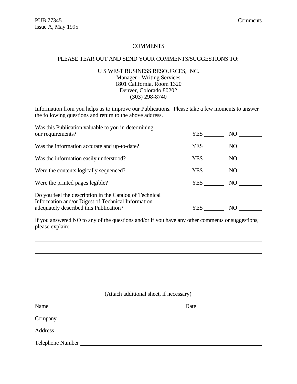$\overline{a}$ 

#### **COMMENTS**

# PLEASE TEAR OUT AND SEND YOUR COMMENTS/SUGGESTIONS TO:

# U S WEST BUSINESS RESOURCES, INC. Manager - Writing Services 1801 California, Room 1320 Denver, Colorado 80202 (303) 298-8740

Information from you helps us to improve our Publications. Please take a few moments to answer the following questions and return to the above address.

| Was this Publication valuable to you in determining<br>our requirements?                                                                                | YES | NO |
|---------------------------------------------------------------------------------------------------------------------------------------------------------|-----|----|
| Was the information accurate and up-to-date?                                                                                                            | YES | NO |
| Was the information easily understood?                                                                                                                  | YES | NO |
| Were the contents logically sequenced?                                                                                                                  | YES | NO |
| Were the printed pages legible?                                                                                                                         | YES | NO |
| Do you feel the description in the Catalog of Technical<br>Information and/or Digest of Technical Information<br>adequately described this Publication? | YES | NO |

If you answered NO to any of the questions and/or if you have any other comments or suggestions, please explain:

| (Attach additional sheet, if necessary) |
|-----------------------------------------|
|                                         |
|                                         |
|                                         |
|                                         |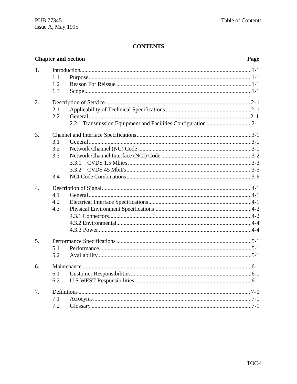# **CONTENTS**

|                  | <b>Chapter and Section</b><br>Page |                                                               |          |  |  |
|------------------|------------------------------------|---------------------------------------------------------------|----------|--|--|
| 1.               |                                    |                                                               |          |  |  |
|                  | 1.1                                |                                                               |          |  |  |
|                  | 1.2                                |                                                               |          |  |  |
|                  | 1.3                                |                                                               |          |  |  |
| 2.               |                                    |                                                               |          |  |  |
|                  | 2.1                                |                                                               |          |  |  |
|                  | 2.2                                |                                                               |          |  |  |
|                  |                                    | 2.2.1 Transmission Equipment and Facilities Configuration 2-1 |          |  |  |
| 3.               |                                    |                                                               |          |  |  |
|                  | 3.1                                |                                                               |          |  |  |
|                  | 3.2                                |                                                               |          |  |  |
|                  | 3.3                                |                                                               |          |  |  |
|                  |                                    | 3.3.1                                                         |          |  |  |
|                  |                                    | 3.3.2                                                         |          |  |  |
|                  | 3.4                                |                                                               |          |  |  |
| $\overline{4}$ . |                                    |                                                               |          |  |  |
|                  | 4.1                                |                                                               |          |  |  |
|                  | 4.2                                |                                                               |          |  |  |
|                  | 4.3                                |                                                               |          |  |  |
|                  |                                    |                                                               |          |  |  |
|                  |                                    |                                                               |          |  |  |
|                  |                                    |                                                               |          |  |  |
| 5.               |                                    |                                                               |          |  |  |
|                  | 5.1                                |                                                               |          |  |  |
|                  | 5.2                                |                                                               |          |  |  |
| 6.               |                                    |                                                               |          |  |  |
|                  | 6.1                                |                                                               |          |  |  |
|                  | 6.2                                |                                                               |          |  |  |
| 7.               |                                    |                                                               |          |  |  |
|                  | 7.1                                |                                                               |          |  |  |
|                  | 7.2                                |                                                               | $.7 - 1$ |  |  |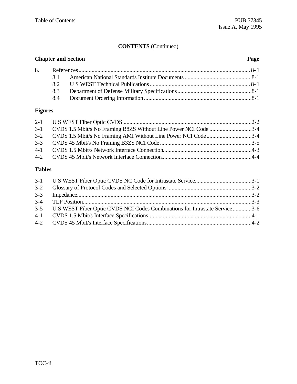# **CONTENTS** (Continued)

| <b>Chapter and Section</b><br>Page |  |  |
|------------------------------------|--|--|
|                                    |  |  |
|                                    |  |  |
|                                    |  |  |
| 8.3                                |  |  |
|                                    |  |  |

# **Figures**

| 3-1 CVDS 1.5 Mbit/s No Framing B8ZS Without Line Power NCI Code 3-4 |
|---------------------------------------------------------------------|
|                                                                     |
| 3-2 CVDS 1.5 Mbit/s No Framing AMI Without Line Power NCI Code3-4   |
|                                                                     |
|                                                                     |
|                                                                     |
|                                                                     |

# **Tables**

| 3-5 U S WEST Fiber Optic CVDS NCI Codes Combinations for Intrastate Service 3-6 |  |
|---------------------------------------------------------------------------------|--|
|                                                                                 |  |
|                                                                                 |  |
|                                                                                 |  |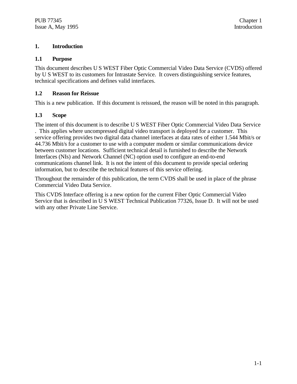# **1. Introduction**

#### **1.1 Purpose**

This document describes U S WEST Fiber Optic Commercial Video Data Service (CVDS) offered by U S WEST to its customers for Intrastate Service. It covers distinguishing service features, technical specifications and defines valid interfaces.

# **1.2 Reason for Reissue**

This is a new publication. If this document is reissued, the reason will be noted in this paragraph.

# **1.3 Scope**

The intent of this document is to describe U S WEST Fiber Optic Commercial Video Data Service . This applies where uncompressed digital video transport is deployed for a customer. This service offering provides two digital data channel interfaces at data rates of either 1.544 Mbit/s or 44.736 Mbit/s for a customer to use with a computer modem or similar communications device between customer locations. Sufficient technical detail is furnished to describe the Network Interfaces (NIs) and Network Channel (NC) option used to configure an end-to-end communications channel link. It is not the intent of this document to provide special ordering information, but to describe the technical features of this service offering.

Throughout the remainder of this publication, the term CVDS shall be used in place of the phrase Commercial Video Data Service.

This CVDS Interface offering is a new option for the current Fiber Optic Commercial Video Service that is described in U S WEST Technical Publication 77326, Issue D. It will not be used with any other Private Line Service.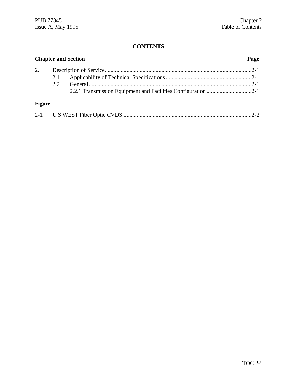# **CONTENTS**

|               | <b>Chapter and Section</b><br>Page |  |  |
|---------------|------------------------------------|--|--|
| 2.            |                                    |  |  |
|               | 2.1                                |  |  |
|               | 2.2.                               |  |  |
|               |                                    |  |  |
| <b>Figure</b> |                                    |  |  |
|               |                                    |  |  |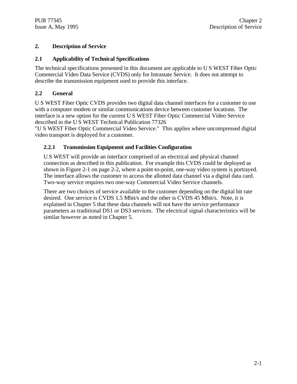# **2. Description of Service**

# **2.1 Applicability of Technical Specifications**

The technical specifications presented in this document are applicable to U S WEST Fiber Optic Commercial Video Data Service (CVDS) only for Intrastate Service. It does not attempt to describe the transmission equipment used to provide this interface.

# **2.2 General**

U S WEST Fiber Optic CVDS provides two digital data channel interfaces for a customer to use with a computer modem or similar communications device between customer locations. The interface is a new option for the current U S WEST Fiber Optic Commercial Video Service described in the U S WEST Technical Publication 77326

"U S WEST Fiber Optic Commercial Video Service." This applies where uncompressed digital video transport is deployed for a customer.

# **2.2.1 Transmission Equipment and Facilities Configuration**

U S WEST will provide an interface comprised of an electrical and physical channel connection as described in this publication. For example this CVDS could be deployed as shown in Figure 2-1 on page 2-2, where a point-to-point, one-way video system is portrayed. The interface allows the customer to access the allotted data channel via a digital data card. Two-way service requires two one-way Commercial Video Service channels.

There are two choices of service available to the customer depending on the digital bit rate desired. One service is CVDS 1.5 Mbit/s and the other is CVDS 45 Mbit/s. Note, it is explained in Chapter 5 that these data channels will not have the service performance parameters as traditional DS1 or DS3 services. The electrical signal characteristics will be similar however as noted in Chapter 5.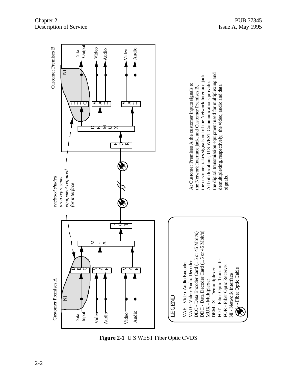

**Figure 2-1** U S WEST Fiber Optic CVDS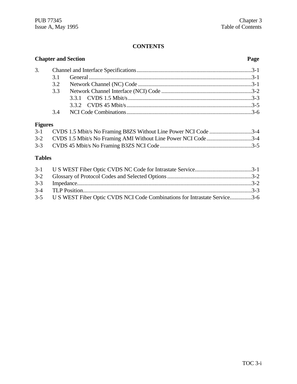# **CONTENTS**

|                |     | <b>Chapter and Section</b>                                      | Page |
|----------------|-----|-----------------------------------------------------------------|------|
| 3.             |     |                                                                 |      |
|                | 3.1 |                                                                 |      |
|                | 3.2 |                                                                 |      |
|                | 3.3 |                                                                 |      |
|                |     |                                                                 |      |
|                |     |                                                                 |      |
|                | 3.4 |                                                                 |      |
| <b>Figures</b> |     |                                                                 |      |
| $3-1$          |     | CVDS 1.5 Mbit/s No Framing B8ZS Without Line Power NCI Code 3-4 |      |
| $3 - 2$        |     | CVDS 1.5 Mbit/s No Framing AMI Without Line Power NCI Code3-4   |      |
| $3 - 3$        |     |                                                                 |      |

# **Tables**

| 3-5 U S WEST Fiber Optic CVDS NCI Code Combinations for Intrastate Service3-6 |  |
|-------------------------------------------------------------------------------|--|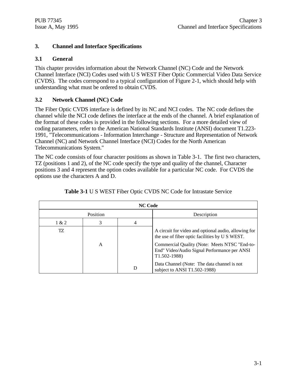# **3. Channel and Interface Specifications**

# **3.1 General**

This chapter provides information about the Network Channel (NC) Code and the Network Channel Interface (NCI) Codes used with U S WEST Fiber Optic Commercial Video Data Service (CVDS). The codes correspond to a typical configuration of Figure 2-1, which should help with understanding what must be ordered to obtain CVDS.

# **3.2 Network Channel (NC) Code**

The Fiber Optic CVDS interface is defined by its NC and NCI codes. The NC code defines the channel while the NCI code defines the interface at the ends of the channel. A brief explanation of the format of these codes is provided in the following sections. For a more detailed view of coding parameters, refer to the American National Standards Institute (ANSI) document T1.223- 1991, "Telecommunications - Information Interchange - Structure and Representation of Network Channel (NC) and Network Channel Interface (NCI) Codes for the North American Telecommunications System."

The NC code consists of four character positions as shown in Table 3-1. The first two characters, TZ (positions 1 and 2), of the NC code specify the type and quality of the channel, Character positions 3 and 4 represent the option codes available for a particular NC code. For CVDS the options use the characters A and D.

| <b>NC Code</b> |   |   |                                                                                                                                                                                                                            |
|----------------|---|---|----------------------------------------------------------------------------------------------------------------------------------------------------------------------------------------------------------------------------|
| Position       |   |   | Description                                                                                                                                                                                                                |
| 1 & 2          | 3 | 4 |                                                                                                                                                                                                                            |
| TZ.            | A |   | A circuit for video and optional audio, allowing for<br>the use of fiber optic facilities by U S WEST.<br>Commercial Quality (Note: Meets NTSC "End-to-<br>End" Video/Audio Signal Performance per ANSI<br>$T1.502 - 1988$ |
|                |   | D | Data Channel (Note: The data channel is not<br>subject to ANSI T1.502-1988)                                                                                                                                                |

| <b>Table 3-1 U S WEST Fiber Optic CVDS NC Code for Intrastate Service</b> |
|---------------------------------------------------------------------------|
|---------------------------------------------------------------------------|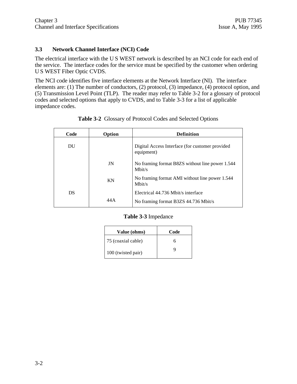# **3.3 Network Channel Interface (NCI) Code**

The electrical interface with the U S WEST network is described by an NCI code for each end of the service. The interface codes for the service must be specified by the customer when ordering U S WEST Fiber Optic CVDS.

The NCI code identifies five interface elements at the Network Interface (NI). The interface elements are: (1) The number of conductors, (2) protocol, (3) impedance, (4) protocol option, and (5) Transmission Level Point (TLP). The reader may refer to Table 3-2 for a glossary of protocol codes and selected options that apply to CVDS, and to Table 3-3 for a list of applicable impedance codes.

| Code | Option | <b>Definition</b>                                             |
|------|--------|---------------------------------------------------------------|
| DU   |        | Digital Access Interface (for customer provided<br>equipment) |
|      | JN     | No framing format B8ZS without line power 1.544<br>Mbit/s     |
|      | KN     | No framing format AMI without line power 1.544<br>Mbit/s      |
| DS   |        | Electrical 44.736 Mbit/s interface                            |
|      | 44 A   | No framing format B3ZS 44.736 Mbit/s                          |

**Table 3-2** Glossary of Protocol Codes and Selected Options

# **Table 3-3** Impedance

| Value (ohms)       | Code |
|--------------------|------|
| 75 (coaxial cable) | h    |
| 100 (twisted pair) |      |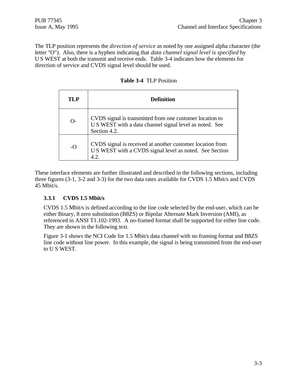The TLP position represents the *direction of service* as noted by one assigned alpha character (the letter "O"). Also, there is a hyphen indicating that *data channel signal level is specified* by U S WEST at both the transmit and receive ends. Table 3-4 indicates how the elements for direction of service and CVDS signal level should be used.

| TI P     | <b>Definition</b>                                                                                                                   |
|----------|-------------------------------------------------------------------------------------------------------------------------------------|
| $\Omega$ | CVDS signal is transmitted from one customer location to<br>U S WEST with a data channel signal level as noted. See<br>Section 4.2. |
| $-$ O    | CVDS signal is received at another customer location from<br>U S WEST with a CVDS signal level as noted. See Section                |

**Table 3-4** TLP Position

These interface elements are further illustrated and described in the following sections, including three figures (3-1, 3-2 and 3-3) for the two data rates available for CVDS 1.5 Mbit/s and CVDS 45 Mbit/s.

# **3.3.1 CVDS 1.5 Mbit/s**

CVDS 1.5 Mbit/s is defined according to the line code selected by the end-user, which can be either Binary, 8 zero substitution (B8ZS) or Bipolar Alternate Mark Inversion (AMI), as referenced in ANSI T1.102-1993. A no-framed format shall be supported for either line code. They are shown in the following text.

Figure 3-1 shows the NCI Code for 1.5 Mbit/s data channel with no framing format and B8ZS line code without line power. In this example, the signal is being transmitted from the end-user to U S WEST.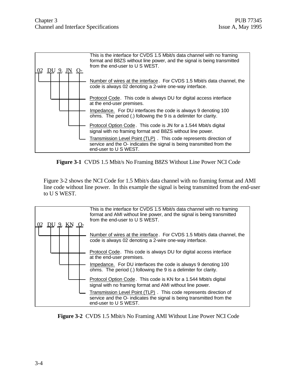



Figure 3-2 shows the NCI Code for 1.5 Mbit/s data channel with no framing format and AMI line code without line power. In this example the signal is being transmitted from the end-user to U S WEST.



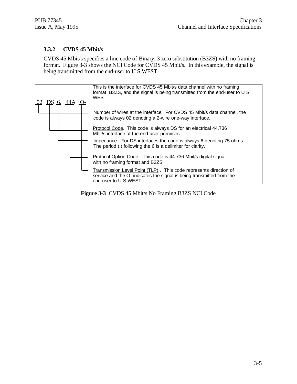# **3.3.2 CVDS 45 Mbit/s**

CVDS 45 Mbit/s specifies a line code of Binary, 3 zero substitution (B3ZS) with no framing format. Figure 3-3 shows the NCI Code for CVDS 45 Mbit/s. In this example, the signal is being transmitted from the end-user to U S WEST.



**Figure 3-3** CVDS 45 Mbit/s No Framing B3ZS NCI Code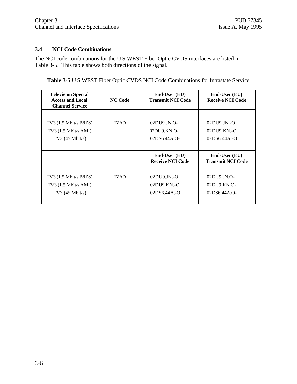# **3.4 NCI Code Combinations**

The NCI code combinations for the U S WEST Fiber Optic CVDS interfaces are listed in Table 3-5. This table shows both directions of the signal.

**Table 3-5** U S WEST Fiber Optic CVDS NCI Code Combinations for Intrastate Service

| <b>Television Special</b><br><b>Access and Local</b><br><b>Channel Service</b> | <b>NC Code</b> | End-User (EU)<br><b>Transmit NCI Code</b>                                                          | End-User (EU)<br><b>Receive NCI Code</b>                                                       |
|--------------------------------------------------------------------------------|----------------|----------------------------------------------------------------------------------------------------|------------------------------------------------------------------------------------------------|
| $TV3$ (1.5 Mbit/s B8ZS)<br>$TV3$ (1.5 Mbit/s AMI)<br>TV3 $(45 \text{ Mbit/s})$ | TZAD           | $02D$ U $9$ JN.O-<br>02DU9.KN.O-<br>$02DS6.44A.0-$                                                 | $02DU9JN.-O$<br>02DU9.KN.-O<br>$02DS6.44A.-O$                                                  |
| $TV3$ (1.5 Mbit/s B8ZS)<br>$TV3$ (1.5 Mbit/s AMI)<br>$TV3$ (45 Mbit/s)         | TZAD           | <b>End-User (EU)</b><br><b>Receive NCI Code</b><br>$02DU9JN.-O$<br>$02DU9.KN.-O$<br>$02DS6.44A.-O$ | End-User (EU)<br><b>Transmit NCI Code</b><br>$02DU9JN.O-$<br>$02DIJ9.KN.O-$<br>$02DS6.44A.$ O- |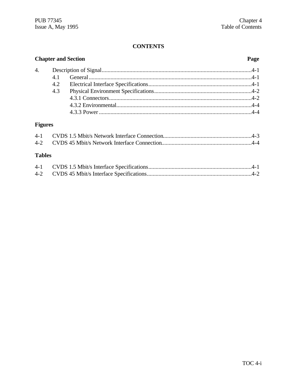# **CONTENTS**

| <b>Chapter and Section</b> |     |  |  |
|----------------------------|-----|--|--|
|                            |     |  |  |
|                            |     |  |  |
|                            | 4.2 |  |  |
|                            | 4.3 |  |  |
|                            |     |  |  |
|                            |     |  |  |
|                            |     |  |  |
|                            |     |  |  |

# **Figures**

# **Tables**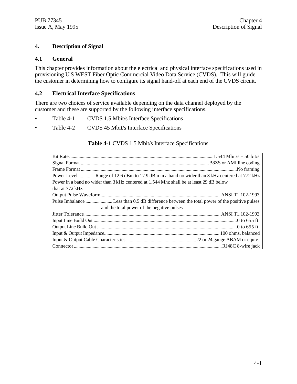# **4. Description of Signal**

# **4.1 General**

This chapter provides information about the electrical and physical interface specifications used in provisioning U S WEST Fiber Optic Commercial Video Data Service (CVDS). This will guide the customer in determining how to configure its signal hand-off at each end of the CVDS circuit.

# **4.2 Electrical Interface Specifications**

There are two choices of service available depending on the data channel deployed by the customer and these are supported by the following interface specifications.

- Table 4-1 CVDS 1.5 Mbit/s Interface Specifications
- Table 4-2 CVDS 45 Mbit/s Interface Specifications

#### **Table 4-1** CVDS 1.5 Mbit/s Interface Specifications

| Power Level  Range of 12.6 dBm to 17.9 dBm in a band no wider than 3 kHz centered at 772 kHz |  |
|----------------------------------------------------------------------------------------------|--|
| Power in a band no wider than 3 kHz centered at 1.544 Mhz shall be at least 29 dB below      |  |
| that at 772 kHz                                                                              |  |
|                                                                                              |  |
|                                                                                              |  |
| and the total power of the negative pulses                                                   |  |
|                                                                                              |  |
|                                                                                              |  |
|                                                                                              |  |
|                                                                                              |  |
|                                                                                              |  |
|                                                                                              |  |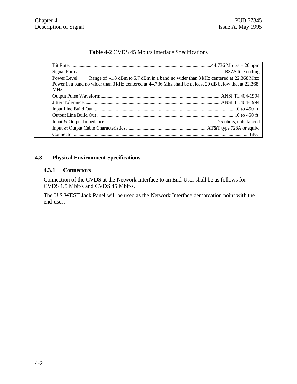# **Table 4-2** CVDS 45 Mbit/s Interface Specifications

|            | Power Level Range of -1.8 dBm to 5.7 dBm in a band no wider than 3 kHz centered at 22.368 Mhz;          |  |
|------------|---------------------------------------------------------------------------------------------------------|--|
|            | Power in a band no wider than 3 kHz centered at 44.736 Mhz shall be at least 20 dB below that at 22.368 |  |
| <b>MHz</b> |                                                                                                         |  |
|            |                                                                                                         |  |
|            |                                                                                                         |  |
|            |                                                                                                         |  |
|            |                                                                                                         |  |
|            |                                                                                                         |  |
|            |                                                                                                         |  |
|            |                                                                                                         |  |

# **4.3 Physical Environment Specifications**

# **4.3.1 Connectors**

Connection of the CVDS at the Network Interface to an End-User shall be as follows for CVDS 1.5 Mbit/s and CVDS 45 Mbit/s.

The U S WEST Jack Panel will be used as the Network Interface demarcation point with the end-user.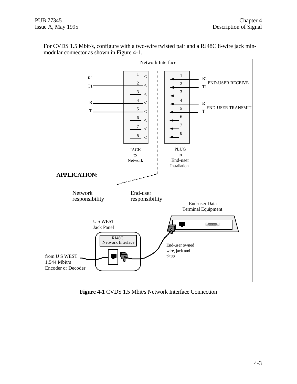

For CVDS 1.5 Mbit/s, configure with a two-wire twisted pair and a RJ48C 8-wire jack minmodular connector as shown in Figure 4-1.

**Figure 4-1** CVDS 1.5 Mbit/s Network Interface Connection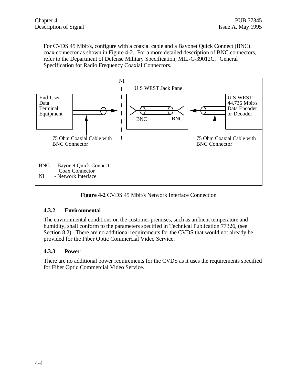For CVDS 45 Mbit/s, configure with a coaxial cable and a Bayonet Quick Connect (BNC) coax connector as shown in Figure 4-2. For a more detailed description of BNC connectors, refer to the Department of Defense Military Specification, MIL-C-39012C, "General Specification for Radio Frequency Coaxial Connectors."



**Figure 4-2** CVDS 45 Mbit/s Network Interface Connection

# **4.3.2 Environmental**

The environmental conditions on the customer premises, such as ambient temperature and humidity, shall conform to the parameters specified in Technical Publication 77326, (see Section 8.2). There are no additional requirements for the CVDS that would not already be provided for the Fiber Optic Commercial Video Service.

# **4.3.3 Power**

There are no additional power requirements for the CVDS as it uses the requirements specified for Fiber Optic Commercial Video Service.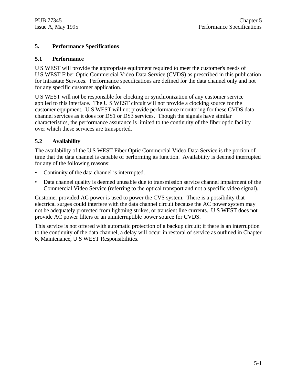# **5. Performance Specifications**

# **5.1 Performance**

U S WEST will provide the appropriate equipment required to meet the customer's needs of U S WEST Fiber Optic Commercial Video Data Service (CVDS) as prescribed in this publication for Intrastate Services. Performance specifications are defined for the data channel only and not for any specific customer application.

U S WEST will not be responsible for clocking or synchronization of any customer service applied to this interface. The U S WEST circuit will not provide a clocking source for the customer equipment. U S WEST will not provide performance monitoring for these CVDS data channel services as it does for DS1 or DS3 services. Though the signals have similar characteristics, the performance assurance is limited to the continuity of the fiber optic facility over which these services are transported.

# **5.2 Availability**

The availability of the U S WEST Fiber Optic Commercial Video Data Service is the portion of time that the data channel is capable of performing its function. Availability is deemed interrupted for any of the following reasons:

- Continuity of the data channel is interrupted.
- Data channel quality is deemed unusable due to transmission service channel impairment of the Commercial Video Service (referring to the optical transport and not a specific video signal).

Customer provided AC power is used to power the CVS system. There is a possibility that electrical surges could interfere with the data channel circuit because the AC power system may not be adequately protected from lightning strikes, or transient line currents. U S WEST does not provide AC power filters or an uninterruptible power source for CVDS.

This service is not offered with automatic protection of a backup circuit; if there is an interruption to the continuity of the data channel, a delay will occur in restoral of service as outlined in Chapter 6, Maintenance, U S WEST Responsibilities.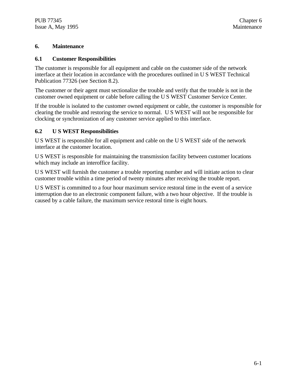# **6. Maintenance**

# **6.1 Customer Responsibilities**

The customer is responsible for all equipment and cable on the customer side of the network interface at their location in accordance with the procedures outlined in U S WEST Technical Publication 77326 (see Section 8.2).

The customer or their agent must sectionalize the trouble and verify that the trouble is not in the customer owned equipment or cable before calling the U S WEST Customer Service Center.

If the trouble is isolated to the customer owned equipment or cable, the customer is responsible for clearing the trouble and restoring the service to normal. U S WEST will not be responsible for clocking or synchronization of any customer service applied to this interface.

# **6.2 U S WEST Responsibilities**

U S WEST is responsible for all equipment and cable on the U S WEST side of the network interface at the customer location.

U S WEST is responsible for maintaining the transmission facility between customer locations which may include an interoffice facility.

U S WEST will furnish the customer a trouble reporting number and will initiate action to clear customer trouble within a time period of twenty minutes after receiving the trouble report.

U S WEST is committed to a four hour maximum service restoral time in the event of a service interruption due to an electronic component failure, with a two hour objective. If the trouble is caused by a cable failure, the maximum service restoral time is eight hours.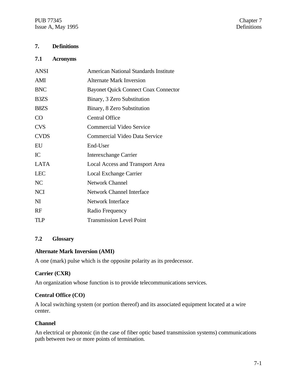PUB 77345 Chapter 7<br>
Issue A, May 1995 Chapter 7 Issue A, May 1995

# **7. Definitions**

#### **7.1 Acronyms**

| <b>ANSI</b>                   | <b>American National Standards Institute</b> |
|-------------------------------|----------------------------------------------|
| AMI                           | <b>Alternate Mark Inversion</b>              |
| <b>BNC</b>                    | <b>Bayonet Quick Connect Coax Connector</b>  |
| B <sub>3</sub> Z <sub>S</sub> | Binary, 3 Zero Substitution                  |
| B <sub>8</sub> Z <sub>S</sub> | Binary, 8 Zero Substitution                  |
| CO                            | <b>Central Office</b>                        |
| <b>CVS</b>                    | <b>Commercial Video Service</b>              |
| <b>CVDS</b>                   | Commercial Video Data Service                |
| EU                            | End-User                                     |
| IC                            | <b>Interexchange Carrier</b>                 |
| <b>LATA</b>                   | Local Access and Transport Area              |
| <b>LEC</b>                    | Local Exchange Carrier                       |
| NC                            | <b>Network Channel</b>                       |
| <b>NCI</b>                    | <b>Network Channel Interface</b>             |
| $\mathbf{M}$                  | Network Interface                            |
| RF                            | Radio Frequency                              |
| TLP                           | <b>Transmission Level Point</b>              |

# **7.2 Glossary**

# **Alternate Mark Inversion (AMI)**

A one (mark) pulse which is the opposite polarity as its predecessor.

# **Carrier (CXR)**

An organization whose function is to provide telecommunications services.

# **Central Office (CO)**

A local switching system (or portion thereof) and its associated equipment located at a wire center.

# **Channel**

An electrical or photonic (in the case of fiber optic based transmission systems) communications path between two or more points of termination.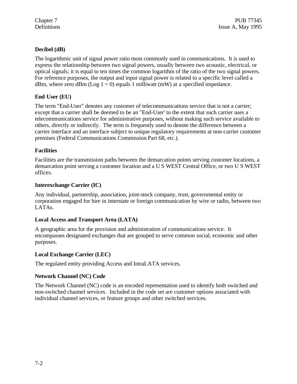# **Decibel (dB)**

The logarithmic unit of signal power ratio most commonly used in communications. It is used to express the relationship between two signal powers, usually between two acoustic, electrical, or optical signals; it is equal to ten times the common logarithm of the ratio of the two signal powers. For reference purposes, the output and input signal power is related to a specific level called a dBm, where zero dBm (Log  $1 = 0$ ) equals 1 milliwatt (mW) at a specified impedance.

# **End-User (EU)**

The term "End-User" denotes any customer of telecommunications service that is not a carrier; except that a carrier shall be deemed to be an "End-User' to the extent that such carrier uses a telecommunications service for administrative purposes, without making such service available to others, directly or indirectly. The term is frequently used to denote the difference between a carrier interface and an interface subject to unique regulatory requirements at non-carrier customer premises (Federal Communications Commission Part 68, etc.).

# **Facilities**

Facilities are the transmission paths between the demarcation points serving customer locations, a demarcation point serving a customer location and a U S WEST Central Office, or two U S WEST offices.

# **Interexchange Carrier (IC)**

Any individual, partnership, association, joint-stock company, trust, governmental entity or corporation engaged for hire in interstate or foreign communication by wire or radio, between two LATAs.

# **Local Access and Transport Area (LATA)**

A geographic area for the provision and administration of communications service. It encompasses designated exchanges that are grouped to serve common social, economic and other purposes.

# **Local Exchange Carrier (LEC)**

The regulated entity providing Access and IntraLATA services.

# **Network Channel (NC) Code**

The Network Channel (NC) code is an encoded representation used to identify both switched and non-switched channel services. Included in the code set are customer options associated with individual channel services, or feature groups and other switched services.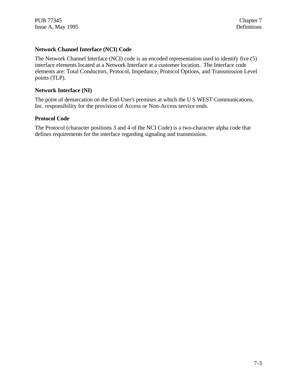PUB 77345 Chapter 7 Issue A, May 1995 Definitions

# **Network Channel Interface (NCI) Code**

The Network Channel Interface (NCI) code is an encoded representation used to identify five (5) interface elements located at a Network Interface at a customer location. The Interface code elements are: Total Conductors, Protocol, Impedance, Protocol Options, and Transmission Level points (TLP).

#### **Network Interface (NI)**

The point of demarcation on the End-User's premises at which the U S WEST Communications, Inc. responsibility for the provision of Access or Non-Access service ends.

#### **Protocol Code**

The Protocol (character positions 3 and 4 of the NCI Code) is a two-character alpha code that defines requirements for the interface regarding signaling and transmission.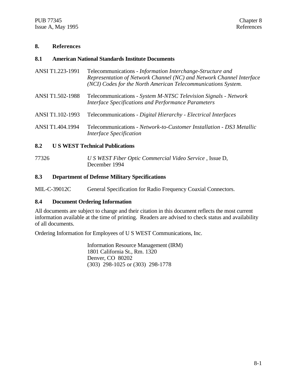# **8. References**

# **8.1 American National Standards Institute Documents**

- ANSI T1.223-1991 Telecommunications *Information Interchange-Structure and Representation of Network Channel (NC) and Network Channel Interface (NCI) Codes for the North American Telecommunications System.*
- ANSI T1.502-1988 Telecommunications *System M-NTSC Television Signals Network Interface Specifications and Performance Parameters*
- ANSI T1.102-1993 Telecommunications *Digital Hierarchy Electrical Interfaces*
- ANSI T1.404.1994 Telecommunications *Network-to-Customer Installation DS3 Metallic Interface Specification*

# **8.2 U S WEST Technical Publications**

77326 *U S WEST Fiber Optic Commercial Video Service* , Issue D, December 1994

# **8.3 Department of Defense Military Specifications**

MIL-C-39012C General Specification for Radio Frequency Coaxial Connectors.

# **8.4 Document Ordering Information**

All documents are subject to change and their citation in this document reflects the most current information available at the time of printing. Readers are advised to check status and availability of all documents.

Ordering Information for Employees of U S WEST Communications, Inc.

Information Resource Management (IRM) 1801 California St., Rm. 1320 Denver, CO 80202 (303) 298-1025 or (303) 298-1778